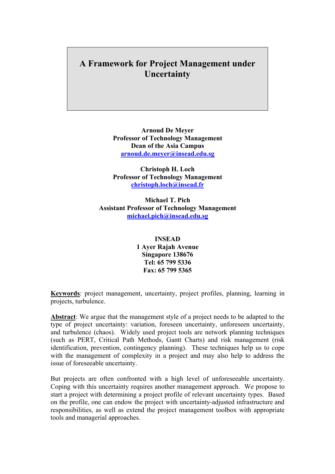## **A Framework for Project Management under Uncertainty**

**Arnoud De Meyer Professor of Technology Management Dean of the Asia Campus arnoud.de.meyer@insead.edu.sg**

**Christoph H. Loch Professor of Technology Management christoph.loch@insead.fr**

**Michael T. Pich Assistant Professor of Technology Management michael.pich@insead.edu.sg**

> **INSEAD 1 Ayer Rajah Avenue Singapore 138676 Tel: 65 799 5336 Fax: 65 799 5365**

**Keywords**: project management, uncertainty, project profiles, planning, learning in projects, turbulence.

**Abstract**: We argue that the management style of a project needs to be adapted to the type of project uncertainty: variation, foreseen uncertainty, unforeseen uncertainty, and turbulence (chaos). Widely used project tools are network planning techniques (such as PERT, Critical Path Methods, Gantt Charts) and risk management (risk identification, prevention, contingency planning). These techniques help us to cope with the management of complexity in a project and may also help to address the issue of foreseeable uncertainty.

But projects are often confronted with a high level of unforeseeable uncertainty. Coping with this uncertainty requires another management approach. We propose to start a project with determining a project profile of relevant uncertainty types. Based on the profile, one can endow the project with uncertainty-adjusted infrastructure and responsibilities, as well as extend the project management toolbox with appropriate tools and managerial approaches.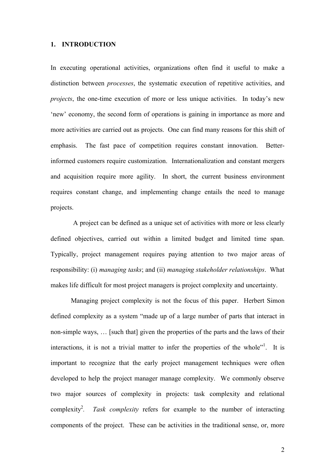#### **1. INTRODUCTION**

In executing operational activities, organizations often find it useful to make a distinction between *processes*, the systematic execution of repetitive activities, and *projects*, the one-time execution of more or less unique activities. In today's new 'new' economy, the second form of operations is gaining in importance as more and more activities are carried out as projects. One can find many reasons for this shift of emphasis. The fast pace of competition requires constant innovation. Betterinformed customers require customization. Internationalization and constant mergers and acquisition require more agility. In short, the current business environment requires constant change, and implementing change entails the need to manage projects.

A project can be defined as a unique set of activities with more or less clearly defined objectives, carried out within a limited budget and limited time span. Typically, project management requires paying attention to two major areas of responsibility: (i) *managing tasks*; and (ii) *managing stakeholder relationships*. What makes life difficult for most project managers is project complexity and uncertainty.

Managing project complexity is not the focus of this paper. Herbert Simon defined complexity as a system "made up of a large number of parts that interact in non-simple ways, … [such that] given the properties of the parts and the laws of their interactions, it is not a trivial matter to infer the properties of the whole"<sup>1</sup>. It is important to recognize that the early project management techniques were often developed to help the project manager manage complexity. We commonly observe two major sources of complexity in projects: task complexity and relational complexity<sup>2</sup>. *. Task complexity* refers for example to the number of interacting components of the project. These can be activities in the traditional sense, or, more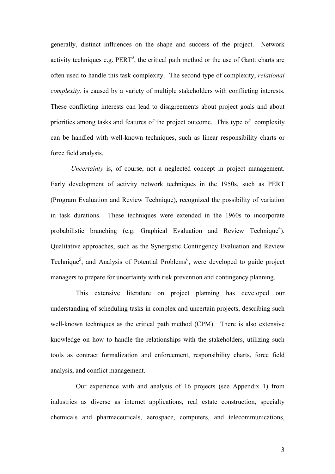generally, distinct influences on the shape and success of the project. Network activity techniques e.g.  $PERT<sup>3</sup>$ , the critical path method or the use of Gantt charts are often used to handle this task complexity. The second type of complexity, *relational complexity*, is caused by a variety of multiple stakeholders with conflicting interests. These conflicting interests can lead to disagreements about project goals and about priorities among tasks and features of the project outcome. This type of complexity can be handled with well-known techniques, such as linear responsibility charts or force field analysis.

*Uncertainty* is, of course, not a neglected concept in project management. Early development of activity network techniques in the 1950s, such as PERT (Program Evaluation and Review Technique), recognized the possibility of variation in task durations. These techniques were extended in the 1960s to incorporate probabilistic branching (e.g. Graphical Evaluation and Review Technique<sup>4</sup>). Qualitative approaches, such as the Synergistic Contingency Evaluation and Review Technique<sup>5</sup>, and Analysis of Potential Problems<sup>6</sup>, were developed to guide project managers to prepare for uncertainty with risk prevention and contingency planning.

This extensive literature on project planning has developed our understanding of scheduling tasks in complex and uncertain projects, describing such well-known techniques as the critical path method (CPM). There is also extensive knowledge on how to handle the relationships with the stakeholders, utilizing such tools as contract formalization and enforcement, responsibility charts, force field analysis, and conflict management.

Our experience with and analysis of 16 projects (see Appendix 1) from industries as diverse as internet applications, real estate construction, specialty chemicals and pharmaceuticals, aerospace, computers, and telecommunications,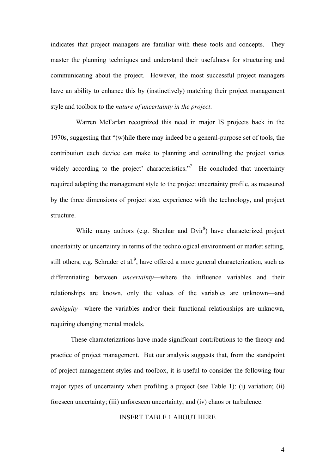indicates that project managers are familiar with these tools and concepts. They master the planning techniques and understand their usefulness for structuring and communicating about the project. However, the most successful project managers have an ability to enhance this by (instinctively) matching their project management style and toolbox to the *nature of uncertainty in the project*.

Warren McFarlan recognized this need in major IS projects back in the 1970s, suggesting that "(w)hile there may indeed be a general-purpose set of tools, the contribution each device can make to planning and controlling the project varies widely according to the project' characteristics. $\frac{1}{10}$  He concluded that uncertainty required adapting the management style to the project uncertainty profile, as measured by the three dimensions of project size, experience with the technology, and project structure.

While many authors (e.g. Shenhar and  $Dvir^8$ ) have characterized project uncertainty or uncertainty in terms of the technological environment or market setting, still others, e.g. Schrader et al.<sup>9</sup>, have offered a more general characterization, such as differentiating between *uncertainty*—where the influence variables and their relationships are known, only the values of the variables are unknown—and *ambiguity*—where the variables and/or their functional relationships are unknown, requiring changing mental models.

These characterizations have made significant contributions to the theory and practice of project management. But our analysis suggests that, from the standpoint of project management styles and toolbox, it is useful to consider the following four major types of uncertainty when profiling a project (see Table 1): (i) variation; (ii) foreseen uncertainty; (iii) unforeseen uncertainty; and (iv) chaos or turbulence.

#### INSERT TABLE 1 ABOUT HERE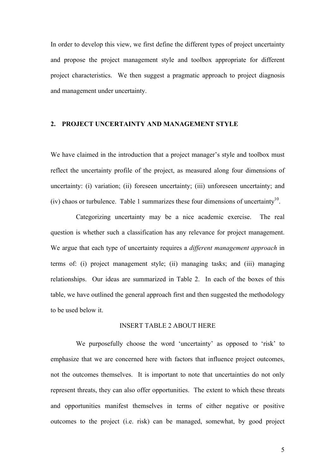In order to develop this view, we first define the different types of project uncertainty and propose the project management style and toolbox appropriate for different project characteristics. We then suggest a pragmatic approach to project diagnosis and management under uncertainty.

## **2. PROJECT UNCERTAINTY AND MANAGEMENT STYLE**

We have claimed in the introduction that a project manager's style and toolbox must reflect the uncertainty profile of the project, as measured along four dimensions of uncertainty: (i) variation; (ii) foreseen uncertainty; (iii) unforeseen uncertainty; and (iv) chaos or turbulence. Table 1 summarizes these four dimensions of uncertainty<sup>10</sup>.

Categorizing uncertainty may be a nice academic exercise. The real question is whether such a classification has any relevance for project management. We argue that each type of uncertainty requires a *different management approach* in terms of: (i) project management style; (ii) managing tasks; and (iii) managing relationships. Our ideas are summarized in Table 2. In each of the boxes of this table, we have outlined the general approach first and then suggested the methodology to be used below it.

#### INSERT TABLE 2 ABOUT HERE

We purposefully choose the word 'uncertainty' as opposed to 'risk' to emphasize that we are concerned here with factors that influence project outcomes, not the outcomes themselves. It is important to note that uncertainties do not only represent threats, they can also offer opportunities. The extent to which these threats and opportunities manifest themselves in terms of either negative or positive outcomes to the project (i.e. risk) can be managed, somewhat, by good project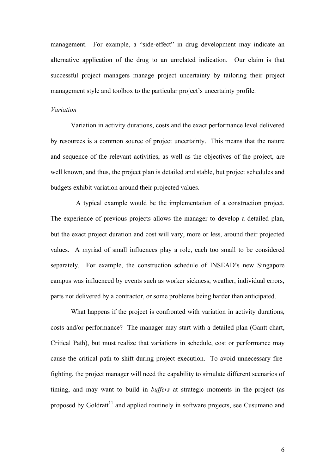management. For example, a "side-effect" in drug development may indicate an alternative application of the drug to an unrelated indication. Our claim is that successful project managers manage project uncertainty by tailoring their project management style and toolbox to the particular project's uncertainty profile.

#### *Variation*

Variation in activity durations, costs and the exact performance level delivered by resources is a common source of project uncertainty. This means that the nature and sequence of the relevant activities, as well as the objectives of the project, are well known, and thus, the project plan is detailed and stable, but project schedules and budgets exhibit variation around their projected values.

A typical example would be the implementation of a construction project. The experience of previous projects allows the manager to develop a detailed plan, but the exact project duration and cost will vary, more or less, around their projected values. A myriad of small influences play a role, each too small to be considered separately. For example, the construction schedule of INSEAD's new Singapore campus was influenced by events such as worker sickness, weather, individual errors, parts not delivered by a contractor, or some problems being harder than anticipated.

What happens if the project is confronted with variation in activity durations, costs and/or performance? The manager may start with a detailed plan (Gantt chart, Critical Path), but must realize that variations in schedule, cost or performance may cause the critical path to shift during project execution. To avoid unnecessary firefighting, the project manager will need the capability to simulate different scenarios of timing, and may want to build in *buffers* at strategic moments in the project (as proposed by Goldratt<sup>11</sup> and applied routinely in software projects, see Cusumano and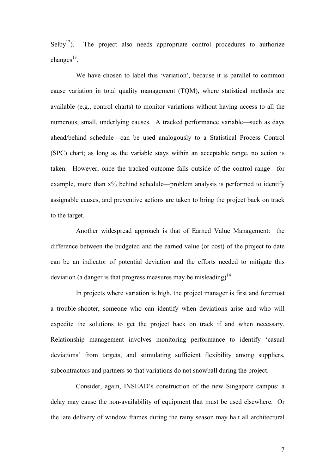$Selby<sup>12</sup>$ ). The project also needs appropriate control procedures to authorize changes $^{13}$ .

We have chosen to label this 'variation'*,* because it is parallel to common cause variation in total quality management (TQM), where statistical methods are available (e.g., control charts) to monitor variations without having access to all the numerous, small, underlying causes. A tracked performance variable—such as days ahead/behind schedule—can be used analogously to a Statistical Process Control (SPC) chart; as long as the variable stays within an acceptable range, no action is taken. However, once the tracked outcome falls outside of the control range—for example, more than x% behind schedule—problem analysis is performed to identify assignable causes, and preventive actions are taken to bring the project back on track to the target.

Another widespread approach is that of Earned Value Management: the difference between the budgeted and the earned value (or cost) of the project to date can be an indicator of potential deviation and the efforts needed to mitigate this deviation (a danger is that progress measures may be misleading)<sup>14</sup>.

In projects where variation is high, the project manager is first and foremost a trouble-shooter, someone who can identify when deviations arise and who will expedite the solutions to get the project back on track if and when necessary. Relationship management involves monitoring performance to identify 'casual deviations' from targets, and stimulating sufficient flexibility among suppliers, subcontractors and partners so that variations do not snowball during the project.

Consider, again, INSEAD's construction of the new Singapore campus: a delay may cause the non-availability of equipment that must be used elsewhere. Or the late delivery of window frames during the rainy season may halt all architectural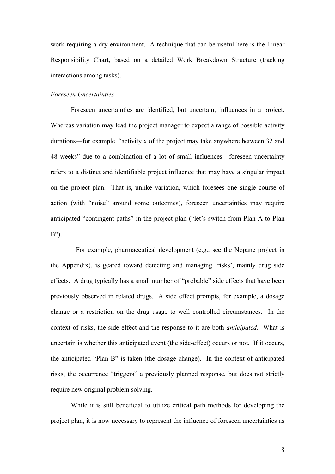work requiring a dry environment. A technique that can be useful here is the Linear Responsibility Chart, based on a detailed Work Breakdown Structure (tracking interactions among tasks).

#### *Foreseen Uncertainties*

Foreseen uncertainties are identified, but uncertain, influences in a project. Whereas variation may lead the project manager to expect a range of possible activity durations—for example, "activity x of the project may take anywhere between 32 and 48 weeks" due to a combination of a lot of small influences—foreseen uncertainty refers to a distinct and identifiable project influence that may have a singular impact on the project plan. That is, unlike variation, which foresees one single course of action (with "noise" around some outcomes), foreseen uncertainties may require anticipated "contingent paths" in the project plan ("let's switch from Plan A to Plan B").

For example, pharmaceutical development (e.g., see the Nopane project in the Appendix), is geared toward detecting and managing 'risks', mainly drug side effects. A drug typically has a small number of "probable" side effects that have been previously observed in related drugs. A side effect prompts, for example, a dosage change or a restriction on the drug usage to well controlled circumstances. In the context of risks, the side effect and the response to it are both *anticipated*. What is uncertain is whether this anticipated event (the side-effect) occurs or not. If it occurs, the anticipated "Plan B" is taken (the dosage change). In the context of anticipated risks, the occurrence "triggers" a previously planned response, but does not strictly require new original problem solving.

While it is still beneficial to utilize critical path methods for developing the project plan, it is now necessary to represent the influence of foreseen uncertainties as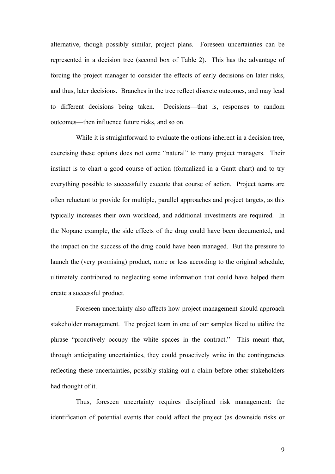alternative, though possibly similar, project plans. Foreseen uncertainties can be represented in a decision tree (second box of Table 2). This has the advantage of forcing the project manager to consider the effects of early decisions on later risks, and thus, later decisions. Branches in the tree reflect discrete outcomes, and may lead to different decisions being taken. Decisions—that is, responses to random outcomes—then influence future risks, and so on.

While it is straightforward to evaluate the options inherent in a decision tree, exercising these options does not come "natural" to many project managers. Their instinct is to chart a good course of action (formalized in a Gantt chart) and to try everything possible to successfully execute that course of action. Project teams are often reluctant to provide for multiple, parallel approaches and project targets, as this typically increases their own workload, and additional investments are required. In the Nopane example, the side effects of the drug could have been documented, and the impact on the success of the drug could have been managed. But the pressure to launch the (very promising) product, more or less according to the original schedule, ultimately contributed to neglecting some information that could have helped them create a successful product.

Foreseen uncertainty also affects how project management should approach stakeholder management. The project team in one of our samples liked to utilize the phrase "proactively occupy the white spaces in the contract." This meant that, through anticipating uncertainties, they could proactively write in the contingencies reflecting these uncertainties, possibly staking out a claim before other stakeholders had thought of it.

Thus, foreseen uncertainty requires disciplined risk management: the identification of potential events that could affect the project (as downside risks or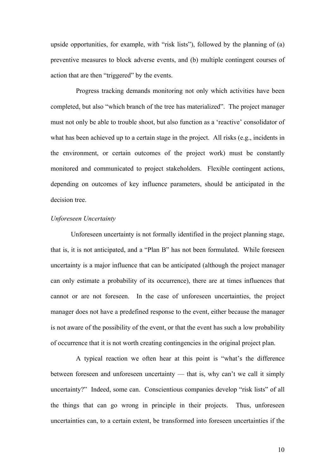upside opportunities, for example, with "risk lists"), followed by the planning of (a) preventive measures to block adverse events, and (b) multiple contingent courses of action that are then "triggered" by the events.

Progress tracking demands monitoring not only which activities have been completed, but also "which branch of the tree has materialized". The project manager must not only be able to trouble shoot, but also function as a 'reactive' consolidator of what has been achieved up to a certain stage in the project. All risks (e.g., incidents in the environment, or certain outcomes of the project work) must be constantly monitored and communicated to project stakeholders. Flexible contingent actions, depending on outcomes of key influence parameters, should be anticipated in the decision tree.

## *Unforeseen Uncertainty*

Unforeseen uncertainty is not formally identified in the project planning stage, that is, it is not anticipated, and a "Plan B" has not been formulated. While foreseen uncertainty is a major influence that can be anticipated (although the project manager can only estimate a probability of its occurrence), there are at times influences that cannot or are not foreseen. In the case of unforeseen uncertainties, the project manager does not have a predefined response to the event, either because the manager is not aware of the possibility of the event, or that the event has such a low probability of occurrence that it is not worth creating contingencies in the original project plan.

A typical reaction we often hear at this point is "what's the difference between foreseen and unforeseen uncertainty — that is, why can't we call it simply uncertainty?" Indeed, some can. Conscientious companies develop "risk lists" of all the things that can go wrong in principle in their projects. Thus, unforeseen uncertainties can, to a certain extent, be transformed into foreseen uncertainties if the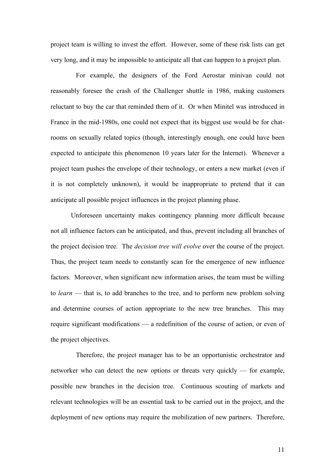project team is willing to invest the effort. However, some of these risk lists can get very long, and it may be impossible to anticipate all that can happen to a project plan.

For example, the designers of the Ford Aerostar minivan could not reasonably foresee the crash of the Challenger shuttle in 1986, making customers reluctant to buy the car that reminded them of it. Or when Minitel was introduced in France in the mid-1980s, one could not expect that its biggest use would be for chatrooms on sexually related topics (though, interestingly enough, one could have been expected to anticipate this phenomenon 10 years later for the Internet). Whenever a project team pushes the envelope of their technology, or enters a new market (even if it is not completely unknown), it would be inappropriate to pretend that it can anticipate all possible project influences in the project planning phase.

Unforeseen uncertainty makes contingency planning more difficult because not all influence factors can be anticipated, and thus, prevent including all branches of the project decision tree. The *decision tree will evolve* over the course of the project. Thus, the project team needs to constantly scan for the emergence of new influence factors. Moreover, when significant new information arises, the team must be willing to *learn* — that is, to add branches to the tree, and to perform new problem solving and determine courses of action appropriate to the new tree branches. This may require significant modifications — a redefinition of the course of action, or even of the project objectives.

Therefore, the project manager has to be an opportunistic orchestrator and networker who can detect the new options or threats very quickly — for example, possible new branches in the decision tree. Continuous scouting of markets and relevant technologies will be an essential task to be carried out in the project, and the deployment of new options may require the mobilization of new partners. Therefore,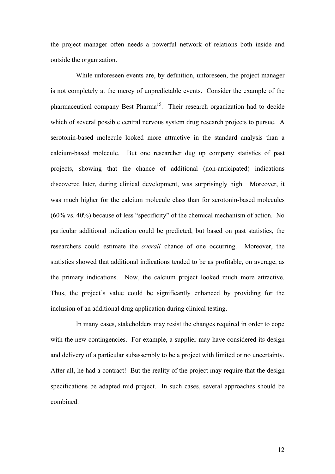the project manager often needs a powerful network of relations both inside and outside the organization.

While unforeseen events are, by definition, unforeseen, the project manager is not completely at the mercy of unpredictable events. Consider the example of the pharmaceutical company Best Pharma<sup>15</sup>. Their research organization had to decide which of several possible central nervous system drug research projects to pursue. A serotonin-based molecule looked more attractive in the standard analysis than a calcium-based molecule. But one researcher dug up company statistics of past projects, showing that the chance of additional (non-anticipated) indications discovered later, during clinical development, was surprisingly high. Moreover, it was much higher for the calcium molecule class than for serotonin-based molecules (60% vs. 40%) because of less "specificity" of the chemical mechanism of action. No particular additional indication could be predicted, but based on past statistics, the researchers could estimate the *overall* chance of one occurring. Moreover, the statistics showed that additional indications tended to be as profitable, on average, as the primary indications. Now, the calcium project looked much more attractive. Thus, the project's value could be significantly enhanced by providing for the inclusion of an additional drug application during clinical testing.

In many cases, stakeholders may resist the changes required in order to cope with the new contingencies. For example, a supplier may have considered its design and delivery of a particular subassembly to be a project with limited or no uncertainty. After all, he had a contract! But the reality of the project may require that the design specifications be adapted mid project. In such cases, several approaches should be combined.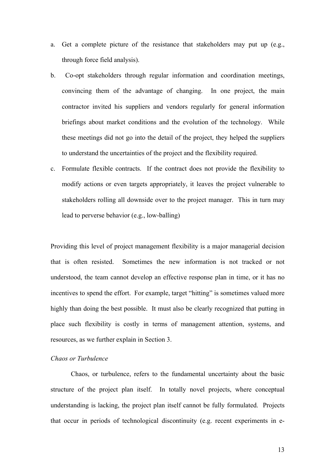- a. Get a complete picture of the resistance that stakeholders may put up (e.g., through force field analysis).
- b. Co-opt stakeholders through regular information and coordination meetings, convincing them of the advantage of changing. In one project, the main contractor invited his suppliers and vendors regularly for general information briefings about market conditions and the evolution of the technology. While these meetings did not go into the detail of the project, they helped the suppliers to understand the uncertainties of the project and the flexibility required.
- c. Formulate flexible contracts. If the contract does not provide the flexibility to modify actions or even targets appropriately, it leaves the project vulnerable to stakeholders rolling all downside over to the project manager. This in turn may lead to perverse behavior (e.g., low-balling)

Providing this level of project management flexibility is a major managerial decision that is often resisted. Sometimes the new information is not tracked or not understood, the team cannot develop an effective response plan in time, or it has no incentives to spend the effort. For example, target "hitting" is sometimes valued more highly than doing the best possible. It must also be clearly recognized that putting in place such flexibility is costly in terms of management attention, systems, and resources, as we further explain in Section 3.

## *Chaos or Turbulence*

Chaos, or turbulence, refers to the fundamental uncertainty about the basic structure of the project plan itself. In totally novel projects, where conceptual understanding is lacking, the project plan itself cannot be fully formulated. Projects that occur in periods of technological discontinuity (e.g. recent experiments in e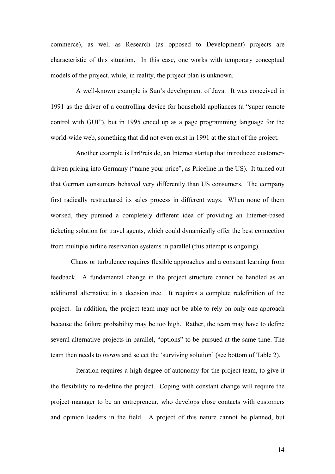commerce), as well as Research (as opposed to Development) projects are characteristic of this situation. In this case, one works with temporary conceptual models of the project, while, in reality, the project plan is unknown.

A well-known example is Sun's development of Java. It was conceived in 1991 as the driver of a controlling device for household appliances (a "super remote control with GUI"), but in 1995 ended up as a page programming language for the world-wide web, something that did not even exist in 1991 at the start of the project.

Another example is IhrPreis.de, an Internet startup that introduced customerdriven pricing into Germany ("name your price", as Priceline in the US). It turned out that German consumers behaved very differently than US consumers. The company first radically restructured its sales process in different ways. When none of them worked, they pursued a completely different idea of providing an Internet-based ticketing solution for travel agents, which could dynamically offer the best connection from multiple airline reservation systems in parallel (this attempt is ongoing).

Chaos or turbulence requires flexible approaches and a constant learning from feedback. A fundamental change in the project structure cannot be handled as an additional alternative in a decision tree. It requires a complete redefinition of the project. In addition, the project team may not be able to rely on only one approach because the failure probability may be too high. Rather, the team may have to define several alternative projects in parallel, "options" to be pursued at the same time. The team then needs to *iterate* and select the 'surviving solution' (see bottom of Table 2).

Iteration requires a high degree of autonomy for the project team, to give it the flexibility to re-define the project. Coping with constant change will require the project manager to be an entrepreneur, who develops close contacts with customers and opinion leaders in the field. A project of this nature cannot be planned, but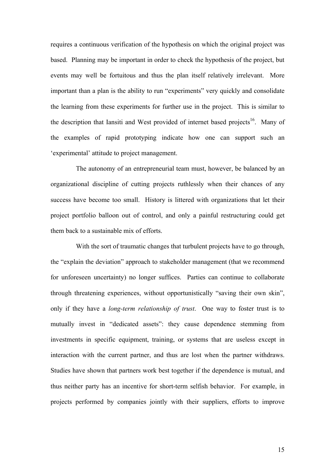requires a continuous verification of the hypothesis on which the original project was based. Planning may be important in order to check the hypothesis of the project, but events may well be fortuitous and thus the plan itself relatively irrelevant. More important than a plan is the ability to run "experiments" very quickly and consolidate the learning from these experiments for further use in the project. This is similar to the description that Iansiti and West provided of internet based projects<sup>16</sup>. Many of the examples of rapid prototyping indicate how one can support such an 'experimental' attitude to project management.

The autonomy of an entrepreneurial team must, however, be balanced by an organizational discipline of cutting projects ruthlessly when their chances of any success have become too small. History is littered with organizations that let their project portfolio balloon out of control, and only a painful restructuring could get them back to a sustainable mix of efforts.

With the sort of traumatic changes that turbulent projects have to go through, the "explain the deviation" approach to stakeholder management (that we recommend for unforeseen uncertainty) no longer suffices. Parties can continue to collaborate through threatening experiences, without opportunistically "saving their own skin", only if they have a *long-term relationship of trust*. One way to foster trust is to mutually invest in "dedicated assets": they cause dependence stemming from investments in specific equipment, training, or systems that are useless except in interaction with the current partner, and thus are lost when the partner withdraws. Studies have shown that partners work best together if the dependence is mutual, and thus neither party has an incentive for short-term selfish behavior. For example, in projects performed by companies jointly with their suppliers, efforts to improve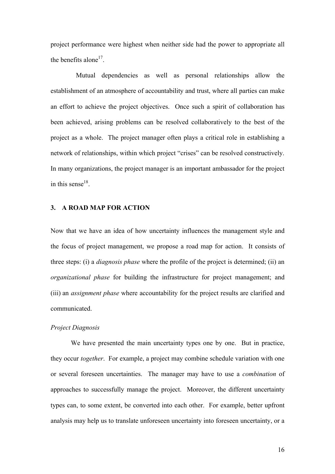project performance were highest when neither side had the power to appropriate all the benefits alone<sup>17</sup>.

Mutual dependencies as well as personal relationships allow the establishment of an atmosphere of accountability and trust, where all parties can make an effort to achieve the project objectives. Once such a spirit of collaboration has been achieved, arising problems can be resolved collaboratively to the best of the project as a whole. The project manager often plays a critical role in establishing a network of relationships, within which project "crises" can be resolved constructively. In many organizations, the project manager is an important ambassador for the project in this sense<sup>18</sup>.

## **3. A ROAD MAP FOR ACTION**

Now that we have an idea of how uncertainty influences the management style and the focus of project management, we propose a road map for action. It consists of three steps: (i) a *diagnosis phase* where the profile of the project is determined; (ii) an *organizational phase* for building the infrastructure for project management; and (iii) an *assignment phase* where accountability for the project results are clarified and communicated.

#### *Project Diagnosis*

We have presented the main uncertainty types one by one. But in practice, they occur *together*. For example, a project may combine schedule variation with one or several foreseen uncertainties. The manager may have to use a *combination* of approaches to successfully manage the project. Moreover, the different uncertainty types can, to some extent, be converted into each other. For example, better upfront analysis may help us to translate unforeseen uncertainty into foreseen uncertainty, or a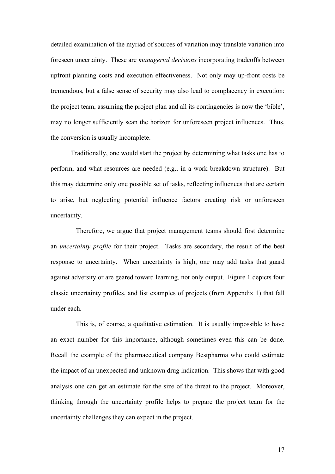detailed examination of the myriad of sources of variation may translate variation into foreseen uncertainty. These are *managerial decisions* incorporating tradeoffs between upfront planning costs and execution effectiveness. Not only may up-front costs be tremendous, but a false sense of security may also lead to complacency in execution: the project team, assuming the project plan and all its contingencies is now the 'bible', may no longer sufficiently scan the horizon for unforeseen project influences. Thus, the conversion is usually incomplete.

Traditionally, one would start the project by determining what tasks one has to perform, and what resources are needed (e.g., in a work breakdown structure). But this may determine only one possible set of tasks, reflecting influences that are certain to arise, but neglecting potential influence factors creating risk or unforeseen uncertainty.

Therefore, we argue that project management teams should first determine an *uncertainty profile* for their project. Tasks are secondary, the result of the best response to uncertainty. When uncertainty is high, one may add tasks that guard against adversity or are geared toward learning, not only output. Figure 1 depicts four classic uncertainty profiles, and list examples of projects (from Appendix 1) that fall under each.

This is, of course, a qualitative estimation. It is usually impossible to have an exact number for this importance, although sometimes even this can be done. Recall the example of the pharmaceutical company Bestpharma who could estimate the impact of an unexpected and unknown drug indication. This shows that with good analysis one can get an estimate for the size of the threat to the project. Moreover, thinking through the uncertainty profile helps to prepare the project team for the uncertainty challenges they can expect in the project.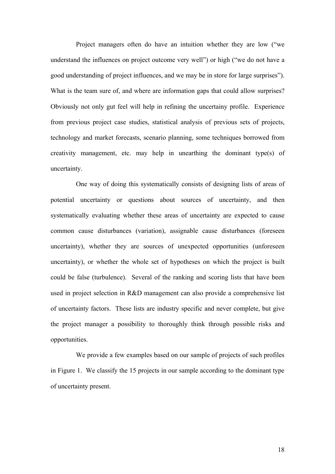Project managers often do have an intuition whether they are low ("we understand the influences on project outcome very well") or high ("we do not have a good understanding of project influences, and we may be in store for large surprises"). What is the team sure of, and where are information gaps that could allow surprises? Obviously not only gut feel will help in refining the uncertainy profile. Experience from previous project case studies, statistical analysis of previous sets of projects, technology and market forecasts, scenario planning, some techniques borrowed from creativity management, etc. may help in unearthing the dominant type(s) of uncertainty.

One way of doing this systematically consists of designing lists of areas of potential uncertainty or questions about sources of uncertainty, and then systematically evaluating whether these areas of uncertainty are expected to cause common cause disturbances (variation), assignable cause disturbances (foreseen uncertainty), whether they are sources of unexpected opportunities (unforeseen uncertainty), or whether the whole set of hypotheses on which the project is built could be false (turbulence). Several of the ranking and scoring lists that have been used in project selection in R&D management can also provide a comprehensive list of uncertainty factors. These lists are industry specific and never complete, but give the project manager a possibility to thoroughly think through possible risks and opportunities.

We provide a few examples based on our sample of projects of such profiles in Figure 1. We classify the 15 projects in our sample according to the dominant type of uncertainty present.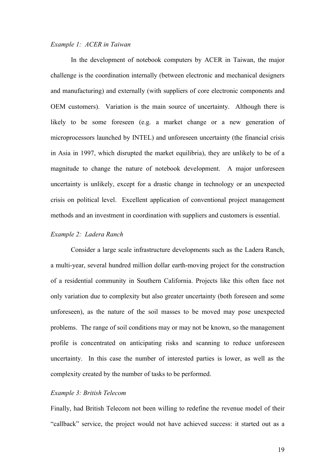#### *Example 1: ACER in Taiwan*

In the development of notebook computers by ACER in Taiwan, the major challenge is the coordination internally (between electronic and mechanical designers and manufacturing) and externally (with suppliers of core electronic components and OEM customers). Variation is the main source of uncertainty. Although there is likely to be some foreseen (e.g. a market change or a new generation of microprocessors launched by INTEL) and unforeseen uncertainty (the financial crisis in Asia in 1997, which disrupted the market equilibria), they are unlikely to be of a magnitude to change the nature of notebook development. A major unforeseen uncertainty is unlikely, except for a drastic change in technology or an unexpected crisis on political level. Excellent application of conventional project management methods and an investment in coordination with suppliers and customers is essential.

## *Example 2: Ladera Ranch*

Consider a large scale infrastructure developments such as the Ladera Ranch, a multi-year, several hundred million dollar earth-moving project for the construction of a residential community in Southern California. Projects like this often face not only variation due to complexity but also greater uncertainty (both foreseen and some unforeseen), as the nature of the soil masses to be moved may pose unexpected problems. The range of soil conditions may or may not be known, so the management profile is concentrated on anticipating risks and scanning to reduce unforeseen uncertainty. In this case the number of interested parties is lower, as well as the complexity created by the number of tasks to be performed.

#### *Example 3: British Telecom*

Finally, had British Telecom not been willing to redefine the revenue model of their "callback" service, the project would not have achieved success: it started out as a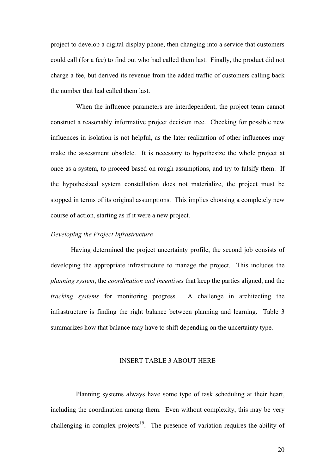project to develop a digital display phone, then changing into a service that customers could call (for a fee) to find out who had called them last. Finally, the product did not charge a fee, but derived its revenue from the added traffic of customers calling back the number that had called them last.

When the influence parameters are interdependent, the project team cannot construct a reasonably informative project decision tree. Checking for possible new influences in isolation is not helpful, as the later realization of other influences may make the assessment obsolete. It is necessary to hypothesize the whole project at once as a system, to proceed based on rough assumptions, and try to falsify them. If the hypothesized system constellation does not materialize, the project must be stopped in terms of its original assumptions. This implies choosing a completely new course of action, starting as if it were a new project.

#### *Developing the Project Infrastructure*

Having determined the project uncertainty profile, the second job consists of developing the appropriate infrastructure to manage the project. This includes the *planning system*, the *coordination and incentives* that keep the parties aligned, and the *tracking systems* for monitoring progress. A challenge in architecting the infrastructure is finding the right balance between planning and learning. Table 3 summarizes how that balance may have to shift depending on the uncertainty type.

#### INSERT TABLE 3 ABOUT HERE

Planning systems always have some type of task scheduling at their heart, including the coordination among them. Even without complexity, this may be very challenging in complex projects<sup>19</sup>. The presence of variation requires the ability of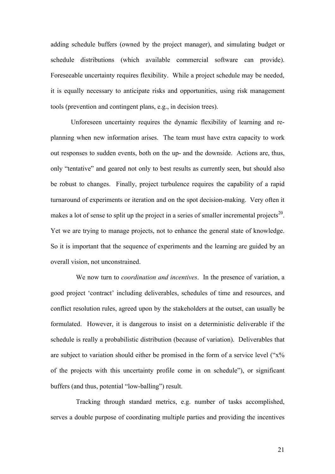adding schedule buffers (owned by the project manager), and simulating budget or schedule distributions (which available commercial software can provide). Foreseeable uncertainty requires flexibility. While a project schedule may be needed, it is equally necessary to anticipate risks and opportunities, using risk management tools (prevention and contingent plans, e.g., in decision trees).

Unforeseen uncertainty requires the dynamic flexibility of learning and replanning when new information arises. The team must have extra capacity to work out responses to sudden events, both on the up- and the downside. Actions are, thus, only "tentative" and geared not only to best results as currently seen, but should also be robust to changes. Finally, project turbulence requires the capability of a rapid turnaround of experiments or iteration and on the spot decision-making. Very often it makes a lot of sense to split up the project in a series of smaller incremental projects<sup>20</sup>. Yet we are trying to manage projects, not to enhance the general state of knowledge. So it is important that the sequence of experiments and the learning are guided by an overall vision, not unconstrained.

We now turn to *coordination and incentives*. In the presence of variation, a good project 'contract' including deliverables, schedules of time and resources, and conflict resolution rules, agreed upon by the stakeholders at the outset, can usually be formulated. However, it is dangerous to insist on a deterministic deliverable if the schedule is really a probabilistic distribution (because of variation). Deliverables that are subject to variation should either be promised in the form of a service level ("x% of the projects with this uncertainty profile come in on schedule"), or significant buffers (and thus, potential "low-balling") result.

Tracking through standard metrics, e.g. number of tasks accomplished, serves a double purpose of coordinating multiple parties and providing the incentives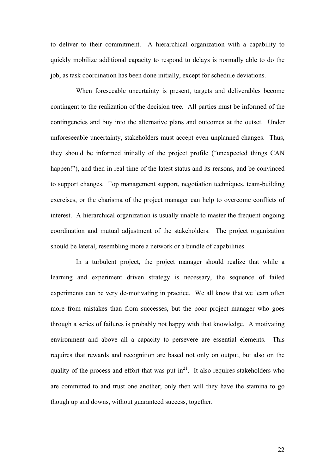to deliver to their commitment. A hierarchical organization with a capability to quickly mobilize additional capacity to respond to delays is normally able to do the job, as task coordination has been done initially, except for schedule deviations.

When foreseeable uncertainty is present, targets and deliverables become contingent to the realization of the decision tree. All parties must be informed of the contingencies and buy into the alternative plans and outcomes at the outset. Under unforeseeable uncertainty, stakeholders must accept even unplanned changes. Thus, they should be informed initially of the project profile ("unexpected things CAN happen!"), and then in real time of the latest status and its reasons, and be convinced to support changes. Top management support, negotiation techniques, team-building exercises, or the charisma of the project manager can help to overcome conflicts of interest. A hierarchical organization is usually unable to master the frequent ongoing coordination and mutual adjustment of the stakeholders. The project organization should be lateral, resembling more a network or a bundle of capabilities.

In a turbulent project, the project manager should realize that while a learning and experiment driven strategy is necessary, the sequence of failed experiments can be very de-motivating in practice. We all know that we learn often more from mistakes than from successes, but the poor project manager who goes through a series of failures is probably not happy with that knowledge. A motivating environment and above all a capacity to persevere are essential elements. This requires that rewards and recognition are based not only on output, but also on the quality of the process and effort that was put  $in<sup>21</sup>$ . It also requires stakeholders who are committed to and trust one another; only then will they have the stamina to go though up and downs, without guaranteed success, together.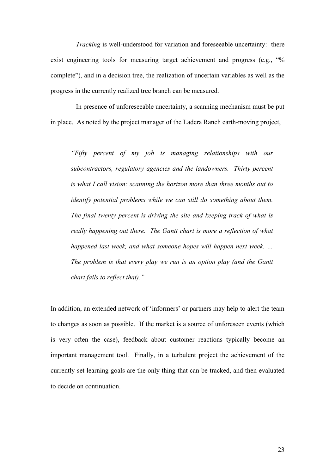*Tracking* is well-understood for variation and foreseeable uncertainty: there exist engineering tools for measuring target achievement and progress (e.g., "% complete"), and in a decision tree, the realization of uncertain variables as well as the progress in the currently realized tree branch can be measured.

In presence of unforeseeable uncertainty, a scanning mechanism must be put in place. As noted by the project manager of the Ladera Ranch earth-moving project,

*"Fifty percent of my job is managing relationships with our subcontractors, regulatory agencies and the landowners. Thirty percent is what I call vision: scanning the horizon more than three months out to identify potential problems while we can still do something about them. The final twenty percent is driving the site and keeping track of what is really happening out there. The Gantt chart is more a reflection of what happened last week, and what someone hopes will happen next week. … The problem is that every play we run is an option play (and the Gantt chart fails to reflect that)."*

In addition, an extended network of 'informers' or partners may help to alert the team to changes as soon as possible. If the market is a source of unforeseen events (which is very often the case), feedback about customer reactions typically become an important management tool. Finally, in a turbulent project the achievement of the currently set learning goals are the only thing that can be tracked, and then evaluated to decide on continuation.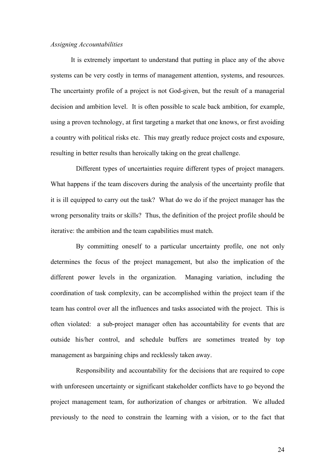#### *Assigning Accountabilities*

It is extremely important to understand that putting in place any of the above systems can be very costly in terms of management attention, systems, and resources. The uncertainty profile of a project is not God-given, but the result of a managerial decision and ambition level. It is often possible to scale back ambition, for example, using a proven technology, at first targeting a market that one knows, or first avoiding a country with political risks etc. This may greatly reduce project costs and exposure, resulting in better results than heroically taking on the great challenge.

Different types of uncertainties require different types of project managers. What happens if the team discovers during the analysis of the uncertainty profile that it is ill equipped to carry out the task? What do we do if the project manager has the wrong personality traits or skills? Thus, the definition of the project profile should be iterative: the ambition and the team capabilities must match.

By committing oneself to a particular uncertainty profile, one not only determines the focus of the project management, but also the implication of the different power levels in the organization. Managing variation, including the coordination of task complexity, can be accomplished within the project team if the team has control over all the influences and tasks associated with the project. This is often violated: a sub-project manager often has accountability for events that are outside his/her control, and schedule buffers are sometimes treated by top management as bargaining chips and recklessly taken away.

Responsibility and accountability for the decisions that are required to cope with unforeseen uncertainty or significant stakeholder conflicts have to go beyond the project management team, for authorization of changes or arbitration. We alluded previously to the need to constrain the learning with a vision, or to the fact that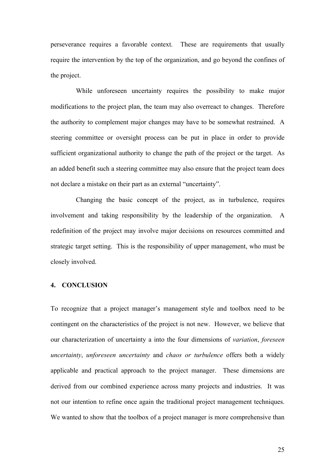perseverance requires a favorable context. These are requirements that usually require the intervention by the top of the organization, and go beyond the confines of the project.

While unforeseen uncertainty requires the possibility to make major modifications to the project plan, the team may also overreact to changes. Therefore the authority to complement major changes may have to be somewhat restrained. A steering committee or oversight process can be put in place in order to provide sufficient organizational authority to change the path of the project or the target. As an added benefit such a steering committee may also ensure that the project team does not declare a mistake on their part as an external "uncertainty".

Changing the basic concept of the project, as in turbulence, requires involvement and taking responsibility by the leadership of the organization. A redefinition of the project may involve major decisions on resources committed and strategic target setting. This is the responsibility of upper management, who must be closely involved.

### **4. CONCLUSION**

To recognize that a project manager's management style and toolbox need to be contingent on the characteristics of the project is not new. However, we believe that our characterization of uncertainty a into the four dimensions of *variation*, *foreseen uncertainty*, *unforeseen uncertainty* and *chaos or turbulence* offers both a widely applicable and practical approach to the project manager. These dimensions are derived from our combined experience across many projects and industries. It was not our intention to refine once again the traditional project management techniques. We wanted to show that the toolbox of a project manager is more comprehensive than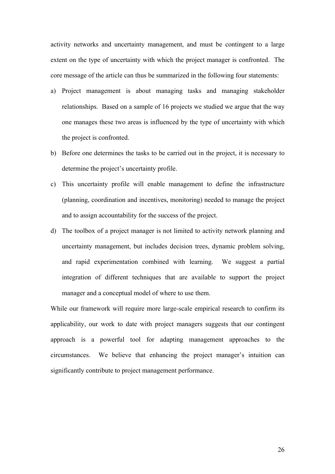activity networks and uncertainty management, and must be contingent to a large extent on the type of uncertainty with which the project manager is confronted. The core message of the article can thus be summarized in the following four statements:

- a) Project management is about managing tasks and managing stakeholder relationships. Based on a sample of 16 projects we studied we argue that the way one manages these two areas is influenced by the type of uncertainty with which the project is confronted.
- b) Before one determines the tasks to be carried out in the project, it is necessary to determine the project's uncertainty profile.
- c) This uncertainty profile will enable management to define the infrastructure (planning, coordination and incentives, monitoring) needed to manage the project and to assign accountability for the success of the project.
- d) The toolbox of a project manager is not limited to activity network planning and uncertainty management, but includes decision trees, dynamic problem solving, and rapid experimentation combined with learning. We suggest a partial integration of different techniques that are available to support the project manager and a conceptual model of where to use them.

While our framework will require more large-scale empirical research to confirm its applicability, our work to date with project managers suggests that our contingent approach is a powerful tool for adapting management approaches to the circumstances. We believe that enhancing the project manager's intuition can significantly contribute to project management performance.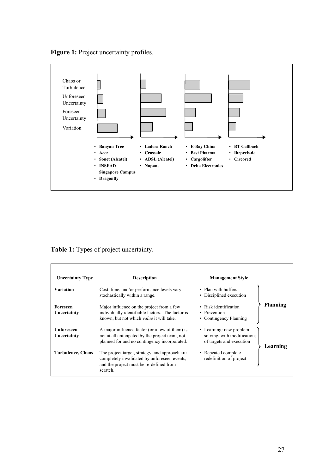Figure 1: Project uncertainty profiles.



**Table 1:** Types of project uncertainty.

| <b>Uncertainty Type</b>          | <b>Description</b>                                                                                                                                    | <b>Management Style</b>                                                            |                 |  |
|----------------------------------|-------------------------------------------------------------------------------------------------------------------------------------------------------|------------------------------------------------------------------------------------|-----------------|--|
| <b>Variation</b>                 | Cost, time, and/or performance levels vary<br>stochastically within a range.                                                                          | • Plan with buffers<br>• Disciplined execution                                     |                 |  |
| Foreseen<br>Uncertainty          | Major influence on the project from a few<br>individually identifiable factors. The factor is<br>known, but not which <i>value</i> it will take.      | • Risk identification<br>• Prevention<br>• Contingency Planning                    | <b>Planning</b> |  |
| <b>Unforeseen</b><br>Uncertainty | A major influence factor (or a few of them) is<br>not at all anticipated by the project team, not<br>planned for and no contingency incorporated.     | • Learning: new problem<br>solving, with modifications<br>of targets and execution | Learning        |  |
| Turbulence, Chaos                | The project target, strategy, and approach are<br>completely invalidated by unforeseen events,<br>and the project must be re-defined from<br>scratch. | • Repeated complete<br>redefinition of project                                     |                 |  |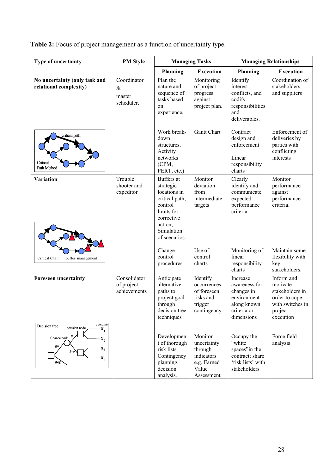**Table 2:** Focus of project management as a function of uncertainty type.

| Type of uncertainty                                                                       | <b>PM Style</b>                             | <b>Managing Tasks</b>                                                                                                                      |                                                                                       | <b>Managing Relationships</b>                                                                      |                                                                                                        |
|-------------------------------------------------------------------------------------------|---------------------------------------------|--------------------------------------------------------------------------------------------------------------------------------------------|---------------------------------------------------------------------------------------|----------------------------------------------------------------------------------------------------|--------------------------------------------------------------------------------------------------------|
|                                                                                           |                                             | <b>Planning</b>                                                                                                                            | <b>Execution</b>                                                                      | <b>Planning</b>                                                                                    | <b>Execution</b>                                                                                       |
| No uncertainty (only task and<br>relational complexity)                                   | Coordinator<br>$\&$<br>master<br>scheduler. | Plan the<br>nature and<br>sequence of<br>tasks based<br>on<br>experience.                                                                  | Monitoring<br>of project<br>progress<br>against<br>project plan.                      | Identify<br>interest<br>conflicts, and<br>codify<br>responsibilities<br>and<br>deliverables.       | Coordination of<br>stakeholders<br>and suppliers                                                       |
| critical path<br>Critical<br>Path Method                                                  |                                             | Work break-<br>down<br>structures,<br>Activity<br>networks<br>(CPM,<br>PERT, etc.)                                                         | <b>Gantt Chart</b>                                                                    | Contract<br>design and<br>enforcement<br>Linear<br>responsibility<br>charts                        | Enforcement of<br>deliveries by<br>parties with<br>conflicting<br>interests                            |
| <b>Variation</b>                                                                          | Trouble<br>shooter and<br>expeditor         | Buffers at<br>strategic<br>locations in<br>critical path;<br>control<br>limits for<br>corrective<br>action;<br>Simulation<br>of scenarios. | Monitor<br>deviation<br>from<br>intermediate<br>targets                               | Clearly<br>identify and<br>communicate<br>expected<br>performance<br>criteria.                     | Monitor<br>performance<br>against<br>performance<br>criteria.                                          |
| Critical Chain:<br>buffer management                                                      |                                             | Change<br>control<br>procedures                                                                                                            | Use of<br>control<br>charts                                                           | Monitoring of<br>linear<br>responsibility<br>charts                                                | Maintain some<br>flexibility with<br>key<br>stakeholders.                                              |
| <b>Foreseen uncertainty</b><br>outcome                                                    | Consolidator<br>of project<br>achievements  | Anticipate<br>alternative<br>paths to<br>project goal<br>through<br>decision tree<br>techniques                                            | Identify<br>occurrences<br>of foreseen<br>risks and<br>trigger<br>contingency         | Increase<br>awareness for<br>changes in<br>environment<br>along known<br>criteria or<br>dimensions | Inform and<br>motivate<br>stakeholders in<br>order to cope<br>with switches in<br>project<br>execution |
| Decision tree<br>decision node<br>X,<br>Chance node<br>$X_2$<br>go<br>х,<br>$X_4$<br>stop |                                             | Developmen<br>t of thorough<br>risk lists<br>Contingency<br>planning,<br>decision<br>analysis.                                             | Monitor<br>uncertainty<br>through<br>indicators<br>e.g. Earned<br>Value<br>Assessment | Occupy the<br>"white<br>spaces"in the<br>contract; share<br>'risk lists' with<br>stakeholders      | Force field<br>analysis                                                                                |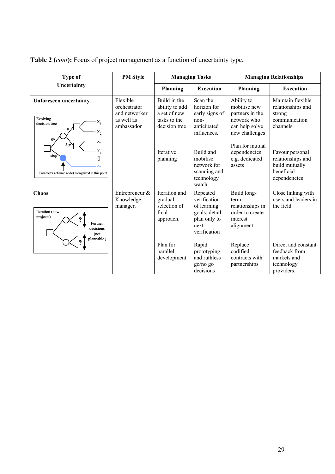**Table 2 (***cont***):** Focus of project management as a function of uncertainty type.

| <b>Type of</b>                                                                     | <b>PM Style</b>                                                       |                                                                                 | <b>Managing Tasks</b>                                                                            |                                                                                                  | <b>Managing Relationships</b>                                                        |
|------------------------------------------------------------------------------------|-----------------------------------------------------------------------|---------------------------------------------------------------------------------|--------------------------------------------------------------------------------------------------|--------------------------------------------------------------------------------------------------|--------------------------------------------------------------------------------------|
| Uncertainty                                                                        |                                                                       | Planning                                                                        | <b>Execution</b>                                                                                 | <b>Planning</b>                                                                                  | <b>Execution</b>                                                                     |
| Unforeseen uncertainty<br>Evolving<br>X,<br>decision tree<br>x,<br>go              | Flexible<br>orchestrator<br>and networker<br>as well as<br>ambassador | Build in the<br>ability to add<br>a set of new<br>tasks to the<br>decision tree | Scan the<br>horizon for<br>early signs of<br>non-<br>anticipated<br>influences.                  | Ability to<br>mobilise new<br>partners in the<br>network who<br>can help solve<br>new challenges | Maintain flexible<br>relationships and<br>strong<br>communication<br>channels        |
| x,<br>stop<br>Parameter (chance node) recognized at this point                     |                                                                       | <b>Iterative</b><br>planning                                                    | Build and<br>mobilise<br>network for<br>scanning and<br>technology<br>watch                      | Plan for mutual<br>dependencies<br>e.g. dedicated<br>assets                                      | Favour personal<br>relationships and<br>build mutually<br>beneficial<br>dependencies |
| Chaos<br>Iteration (new<br>projects)<br>Further<br>decisions<br>(not<br>plannable) | Entrepreneur &<br>Knowledge<br>manager.                               | Iteration and<br>gradual<br>selection of<br>final<br>approach.                  | Repeated<br>verification<br>of learning<br>goals; detail<br>plan only to<br>next<br>verification | Build long-<br>term<br>relationships in<br>order to create<br>interest<br>alignment              | Close linking with<br>users and leaders in<br>the field.                             |
|                                                                                    |                                                                       | Plan for<br>parallel<br>development                                             | Rapid<br>prototyping<br>and ruthless<br>go/no go<br>decisions                                    | Replace<br>codified<br>contracts with<br>partnerships                                            | Direct and constant<br>feedback from<br>markets and<br>technology<br>providers.      |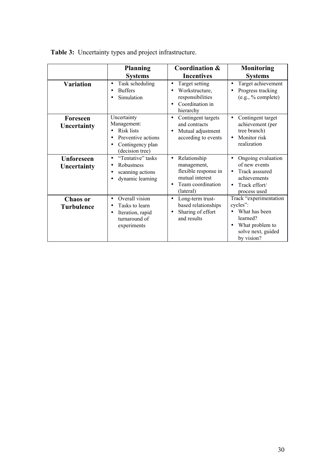|                                      | <b>Planning</b><br><b>Systems</b>                                                                                              | Coordination &<br><b>Incentives</b>                                                                                   | <b>Monitoring</b><br><b>Systems</b>                                                                                                 |
|--------------------------------------|--------------------------------------------------------------------------------------------------------------------------------|-----------------------------------------------------------------------------------------------------------------------|-------------------------------------------------------------------------------------------------------------------------------------|
| <b>Variation</b>                     | Task scheduling<br>$\bullet$<br><b>Buffers</b><br>٠<br>Simulation                                                              | Target setting<br>$\bullet$<br>Workstructure,<br>responsibilities<br>Coordination in<br>hierarchy                     | Target achievement<br>$\bullet$<br>Progress tracking<br>(e.g., %complete)                                                           |
| Foreseen<br>Uncertainty              | Uncertainty<br>Management:<br><b>Risk lists</b><br>Preventive actions<br>$\bullet$<br>Contingency plan<br>٠<br>(decision tree) | Contingent targets<br>$\bullet$<br>and contracts<br>Mutual adjustment<br>$\bullet$<br>according to events             | Contingent target<br>$\bullet$<br>achievement (per<br>tree branch)<br>Monitor risk<br>$\bullet$<br>realization                      |
| <b>Unforeseen</b><br>Uncertainty     | "Tentative" tasks<br>$\bullet$<br>Robustness<br>٠<br>scanning actions<br>٠<br>dynamic learning                                 | Relationship<br>$\bullet$<br>management,<br>flexible response in<br>mutual interest<br>Team coordination<br>(lateral) | Ongoing evaluation<br>of new events<br>Track asssured<br>$\bullet$<br>achievements<br>Track effort/<br>process used                 |
| <b>Chaos</b> or<br><b>Turbulence</b> | Overall vision<br>$\bullet$<br>Tasks to learn<br>Iteration, rapid<br>$\bullet$<br>turnaround of<br>experiments                 | Long-term trust-<br>$\bullet$<br>based relationships<br>Sharing of effort<br>and results                              | Track "experimentation<br>cycles":<br>What has been<br>learned?<br>What problem to<br>$\bullet$<br>solve next, guided<br>by vision? |

| <b>Table 3:</b> Uncertainty types and project infrastructure. |  |
|---------------------------------------------------------------|--|
|                                                               |  |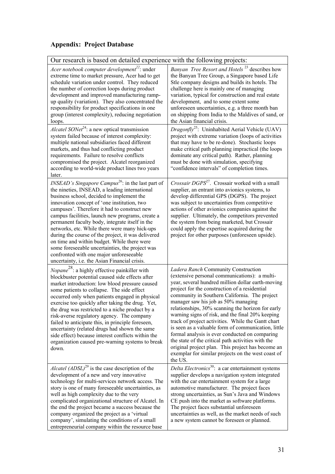# **Appendix: Project Database**

| Our research is based on detailed experience with the following projects:                                                                                                                                                                                                                                                                                                                                                                                                                                                                                                                                                                                                     |                                                                                                                                                                                                                                                                                                                                                                                                                                                                                                                                                                                                                                                                                                                                        |  |  |
|-------------------------------------------------------------------------------------------------------------------------------------------------------------------------------------------------------------------------------------------------------------------------------------------------------------------------------------------------------------------------------------------------------------------------------------------------------------------------------------------------------------------------------------------------------------------------------------------------------------------------------------------------------------------------------|----------------------------------------------------------------------------------------------------------------------------------------------------------------------------------------------------------------------------------------------------------------------------------------------------------------------------------------------------------------------------------------------------------------------------------------------------------------------------------------------------------------------------------------------------------------------------------------------------------------------------------------------------------------------------------------------------------------------------------------|--|--|
| Acer notebook computer development <sup>22</sup> : under<br>extreme time to market pressure, Acer had to get<br>schedule variation under control. They reduced<br>the number of correction loops during product<br>development and improved manufacturing ramp-<br>up quality (variation). They also concentrated the<br>responsibility for product specifications in one<br>group (interest complexity), reducing negotiation<br>loops.<br>Alcatel SONet <sup>24</sup> : a new optical transmission                                                                                                                                                                          | Banyan Tree Resort and Hotels <sup>23</sup> describes how<br>the Banyan Tree Group, a Singapore based Life<br>Stle company designs and builds its hotels. The<br>challenge here is mainly one of managing<br>variation, typical for construction and real estate<br>development, and to some extent some<br>unforeseen uncertainties, e.g. a three month ban<br>on shipping from India to the Maldives of sand, or<br>the Asian financial crisis.<br><i>Dragonfly</i> <sup>25</sup> : Uninhabited Aerial Vehicle (UAV)                                                                                                                                                                                                                 |  |  |
| system failed because of interest complexity:<br>multiple national subsidiaries faced different<br>markets, and thus had conflicting product<br>requirements. Failure to resolve conflicts<br>compromised the project. Alcatel reorganized<br>according to world-wide product lines two years<br>later.                                                                                                                                                                                                                                                                                                                                                                       | project with extreme variation (loops of activities<br>that may have to be re-done). Stochastic loops<br>make critical path planning impractical (the loops<br>dominate any critical path). Rather, planning<br>must be done with simulation, specifying<br>"confidence intervals" of completion times.                                                                                                                                                                                                                                                                                                                                                                                                                                |  |  |
| <i>INSEAD's Singapore Campus</i> <sup>26</sup> : in the last part of<br>the nineties, INSEAD, a leading international<br>business school, decided to implement the<br>innovation concept of 'one institution, two<br>campuses'. Therefore it had to construct new<br>campus facilities, launch new programs, create a<br>permanent faculty body, integrate itself in the<br>networks, etc. While there were many hick-ups<br>during the course of the project, it was delivered<br>on time and within budget. While there were<br>some foreseeable uncertainties, the project was<br>confronted with one major unforeseeable<br>uncertainty, i.e. the Asian Financial crisis. | Crossair DGPS <sup>27</sup> . Crossair worked with a small<br>supplier, an entrant into avionics systems, to<br>develop differential GPS (DGPS). The project<br>was subject to uncertainties from competitive<br>actions of other avionics companies against the<br>supplier. Ultimately, the competitors prevented<br>the system from being marketed, but Crossair<br>could apply the expertise acquired during the<br>project for other purposes (unforeseen upside).                                                                                                                                                                                                                                                                |  |  |
| Nopane <sup>28</sup> : a highly effective painkiller with<br>blockbuster potential caused side effects after<br>market introduction: low blood pressure caused<br>some patients to collapse. The side effect<br>occurred only when patients engaged in physical<br>exercise too quickly after taking the drug. Yet,<br>the drug was restricted to a niche product by a<br>risk-averse regulatory agency. The company<br>failed to anticipate this, in principle foreseen,<br>uncertainty (related drugs had shown the same<br>side effect) because interest conflicts within the<br>organization caused pre-warning systems to break<br>down.                                 | Ladera Ranch Community Construction<br>(extensive personal communications): a multi-<br>year, several hundred million dollar earth-moving<br>project for the construction of a residential<br>community in Southern California. The project<br>manager saw his job as 50% managing<br>relationships, 30% scanning the horizon for early<br>warning signs of risk, and the final 20% keeping<br>track of project activities. While the Gantt chart<br>is seen as a valuable form of communication, little<br>formal analysis is ever conducted on comparing<br>the state of the critical path activities with the<br>original project plan. This project has become an<br>exemplar for similar projects on the west coast of<br>the US. |  |  |
| <i>Alcatel</i> $(ADSL)^{29}$ is the case description of the<br>development of a new and very innovative<br>technology for multi-services network access. The<br>story is one of many foreseeable uncertainties, as<br>well as high complexity due to the very<br>complicated organizational structure of Alcatel. In<br>the end the project became a success because the<br>company organized the project as a 'virtual<br>company', simulating the conditions of a small<br>entrepreneurial company within the resource base                                                                                                                                                 | Delta Electronics <sup>30</sup> : a car entertainment systems<br>supplier develops a navigation system integrated<br>with the car entertainment system for a large<br>automotive manufacturer. The project faces<br>strong uncertainties, as Sun's Java and Windows<br>CE push into the market as software platforms.<br>The project faces substantial unforeseen<br>uncertainties as well, as the market needs of such<br>a new system cannot be foreseen or planned.                                                                                                                                                                                                                                                                 |  |  |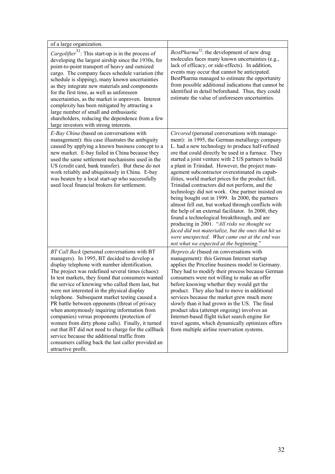| of a large organization.                                                                                                                                                                                                                                                                                                                                                                                                                                                                                                                                                                                                                                                                                                                                                                         |                                                                                                                                                                                                                                                                                                                                                                                                                                                                                                                                                                                                                                                                                                                                                                                                                                                                                                                                               |
|--------------------------------------------------------------------------------------------------------------------------------------------------------------------------------------------------------------------------------------------------------------------------------------------------------------------------------------------------------------------------------------------------------------------------------------------------------------------------------------------------------------------------------------------------------------------------------------------------------------------------------------------------------------------------------------------------------------------------------------------------------------------------------------------------|-----------------------------------------------------------------------------------------------------------------------------------------------------------------------------------------------------------------------------------------------------------------------------------------------------------------------------------------------------------------------------------------------------------------------------------------------------------------------------------------------------------------------------------------------------------------------------------------------------------------------------------------------------------------------------------------------------------------------------------------------------------------------------------------------------------------------------------------------------------------------------------------------------------------------------------------------|
| <i>Cargolifter</i> <sup>31</sup> : This start-up is in the process of<br>developing the largest airship since the 1930s, for<br>point-to-point transport of heavy and outsized<br>cargo. The company faces schedule variation (the<br>schedule is slipping), many known uncertainties<br>as they integrate new materials and components<br>for the first time, as well as unforeseen<br>uncertainties, as the market is unproven. Interest<br>complexity has been mitigated by attracting a<br>large number of small and enthusiastic<br>shareholders, reducing the dependence from a few<br>large investors with strong interests.                                                                                                                                                              | BestPharma <sup>32</sup> : the development of new drug<br>molecules faces many known uncertainties (e.g.,<br>lack of efficacy, or side-effects). In addition,<br>events may occur that cannot be anticipated.<br>BestPharma managed to estimate the opportunity<br>from possible additional indications that cannot be<br>identified in detail beforehand. Thus, they could<br>estimate the value of unforeseen uncertainties.                                                                                                                                                                                                                                                                                                                                                                                                                                                                                                                |
| E-Bay China (based on conversations with<br>management): this case illustrates the ambiguity<br>caused by applying a known business concept to a<br>new market. E-bay failed in China because they<br>used the same settlement mechanisms used in the<br>US (credit card, bank transfer). But these do not<br>work reliably and ubiquitously in China. E-bay<br>was beaten by a local start-up who successfully<br>used local financial brokers for settlement.                                                                                                                                                                                                                                                                                                                                  | Circored (personal conversations with manage-<br>ment): in 1995, the German metallurgy company<br>L. had a new technology to produce half-refined<br>ore that could directly be used in a furnace. They<br>started a joint venture with 2 US partners to build<br>a plant in Trinidad. However, the project man-<br>agement subcontractor overestimated its capab-<br>ilities, world market prices for the product fell,<br>Trinidad contractors did not perform, and the<br>technology did not work. One partner insisted on<br>being bought out in 1999. In 2000, the partners<br>almost fell out, but worked through conflicts with<br>the help of an external facilitator. In 2000, they<br>found a technological breakthrough, and are<br>producing in 2001. "All risks we thought we<br>faced did not materialize, but the ones that hit us<br>were unexpected. What came out at the end was<br>not what we expected at the beginning." |
| BT Call Back (personal conversations with BT<br>managers). In 1995, BT decided to develop a<br>display telephone with number identification.<br>The project was redefined several times (chaos):<br>In test markets, they found that consumers wanted<br>the service of knowing who called them last, but<br>were not interested in the physical display<br>telephone. Subsequent market testing caused a<br>PR battle between opponents (threat of privacy<br>when anonymously inquiring information from<br>companies) versus proponents (protection of<br>women from dirty phone calls). Finally, it turned<br>out that BT did not need to charge for the callback<br>service because the additional traffic from<br>consumers calling back the last caller provided an<br>attractive profit. | <i>Ihrpreis.de</i> (based on conversations with<br>management): this German Internet startup<br>applies the Priceline business model in Germany.<br>They had to modify their process because German<br>consumers were not willing to make an offer<br>before knowing whether they would get the<br>product. They also had to move in additional<br>services because the market grew much more<br>slowly than it had grown in the US. The final<br>product idea (attempt ongoing) involves an<br>Internet-based flight ticket search engine for<br>travel agents, which dynamically optimizes offers<br>from multiple airline reservation systems.                                                                                                                                                                                                                                                                                             |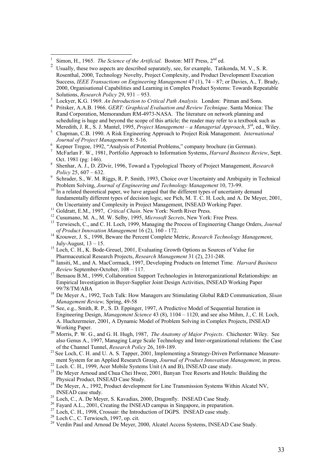$\overline{a}$ 

- <sup>3</sup> Lockyer, K.G. 1969. *An Introduction to Critical Path Analysis*. London: Pitman and Sons.
- 4 Pritsker, A.A.B. 1966. *GERT: Graphical Evaluation and Review Technique*. Santa Monica: The Rand Corporation, Memorandum RM-4973-NASA. The literature on network planning and scheduling is huge and beyond the scope of this article; the reader may refer to a textbook such as Meredith, J. R., S. J. Mantel, 1995, *Project Management – a Managerial Approach*, 3rd, ed., Wiley.
- <sup>5</sup> Chapman, C.B. 1990. A Risk Engineering Approach to Project Risk Management. *International Journal of Project Management* 8: 5-16.
- <sup>6</sup> Kepner Tregoe, 1992, "Analysis of Potential Problems," company brochure (in German).
- <sup>7</sup> McFarlan F. W., 1981, Portfolio Approach to Information Systems, *Harvard Business Review*, Sept. Oct. 1981 (pg: 146).
- 8 Shenhar, A. J., D. ZDvir, 1996, Toward a Typological Theory of Project Management, *Research Policy* 25, 607 – 632.
- 9 Schrader, S., W. M. Riggs, R. P. Smith, 1993, Choice over Uncertainty and Ambiguity in Technical Problem Solving, *Journal of Engineering and Technology Management* 10, 73-99.
- <sup>10</sup> In a related theoretical paper, we have argued that the different types of uncertainty demand fundamentally different types of decision logic, see Pich, M. T. C. H. Loch, and A. De Meyer, 2001, On Uncertainty and Complexity in Project Management, INSEAD Working Paper.
- <sup>11</sup> Goldratt, E.M., 1997, *Critical Chain*. New York: North River Press.
- <sup>12</sup> Cusumano, M. A., M. W. Selby, 1995, *Microsoft Secrets*, New York: Free Press.
- <sup>13</sup> Terwiesch, C., and C. H. Loch, 1999, Managing the Process of Engineering Change Orders, *Journal of Product Innovation Management* 16 (2), 160 - 172.
- <sup>14</sup> Krouwer, J. S., 1998, Beware the Percent Complete Metric, *Research Technology Management*, July-August,  $13 - 15$ .
- <sup>15</sup> Loch, C. H., K. Bode-Greuel, 2001, Evaluating Growth Options as Sources of Value for Pharmaceutical Research Projects, *Research Management* 31 (2), 231-248.
- <sup>16</sup> Iansiti, M., and A. MacCormack, 1997, Developing Products on Internet Time. *Harvard Business Review* September-October, 108 – 117.
- <sup>17</sup> Bensaou B.M., 1999, Collaboration Support Technologies in Interorganizational Relationships: an Empirical Investigation in Buyer-Supplier Joint Design Activities, INSEAD Working Paper 99/78/TM/ABA
- <sup>18</sup> De Meyer A., 1992, Tech Talk: How Managers are Stimulating Global R&D Communication, *Sloan Management Review,* Spring, 49-58
- <sup>19</sup> See, e.g., Smith, R. P., S. D. Eppinger, 1997, A Predictive Model of Sequential Iteration in Engineering Design, *Management Science* 43 (8), 1104 – 1120, and see also Mihm, J., C. H. Loch, A. Huchzermeier, 2001, A Dynamic Model of Problem Solving in Complex Projects, INSEAD Working Paper.
- <sup>20</sup> Morris, P. W. G., and G. H. Hugh, 1987, *The Anatomy of Major Projects*. Chichester: Wiley. See also Genus A., 1997, Managing Large Scale Technology and Inter-organizational relations: the Case of the Channel Tunnel, *Research Policy* 26, 169-189.
- <sup>21</sup> See Loch, C. H. and U. A. S. Tapper, 2001, Implementing a Strategy-Driven Performance Measurement System for an Applied Research Group, *Journal of Product Innovation Management*, in press.
- <sup>22</sup> Loch. C. H., 1999, Acer Mobile Systems Unit (A and B), INSEAD case study.
- <sup>23</sup> De Meyer Arnoud and Chua Chei Hwee, 2001, Banyan Tree Resorts and Hotels: Building the Physical Product, INSEAD Case Study.
- $24$  De Meyer, A., 1992, Product development for Line Transmission Systems Within Alcatel NV, INSEAD case study.
- <sup>25</sup> Loch, C., A. De Meyer, S. Kavadias, 2000, Dragonfly. INSEAD Case Study.
- <sup>26</sup> Fayard A.L., 2001, Creating the INSEAD campus in Singapore, in preparation.
- <sup>27</sup> Loch, C. H., 1998, Crossair: the Introduction of DGPS. INSEAD case study.
- <sup>28</sup> Loch C., C. Terwiesch, 1997, op. cit.
- <sup>29</sup> Verdin Paul and Arnoud De Meyer, 2000, Alcatel Access Systems, INSEAD Case Study.

<sup>1</sup> Simon, H., 1965. *The Science of the Artificial.* Boston: MIT Press, 2<sup>nd</sup> ed.

<sup>2</sup> Usually, these two aspects are described separately, see, for example, Tatikonda, M. V., S. R. Rosenthal, 2000, Technology Novelty, Project Complexity, and Product Development Execution Success, *IEEE Transactions on Engineering Management* 47 (1), 74 – 87; or Davies, A., T. Brady, 2000, Organisational Capabilities and Learning in Complex Product Systems: Towards Repeatable Solutions, *Research Policy* 29, 931 – 953.